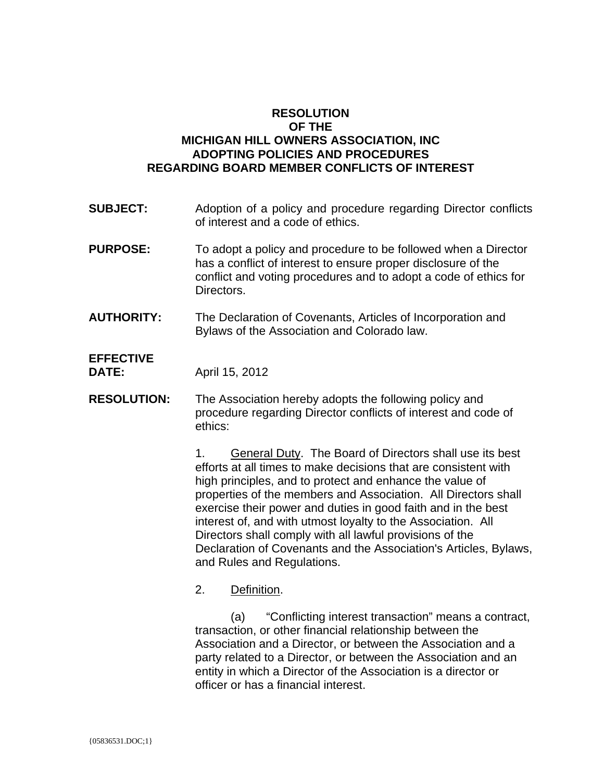## **RESOLUTION OF THE MICHIGAN HILL OWNERS ASSOCIATION, INC ADOPTING POLICIES AND PROCEDURES REGARDING BOARD MEMBER CONFLICTS OF INTEREST**

- **SUBJECT:** Adoption of a policy and procedure regarding Director conflicts of interest and a code of ethics.
- **PURPOSE:** To adopt a policy and procedure to be followed when a Director has a conflict of interest to ensure proper disclosure of the conflict and voting procedures and to adopt a code of ethics for Directors.
- **AUTHORITY:** The Declaration of Covenants, Articles of Incorporation and Bylaws of the Association and Colorado law.

**EFFECTIVE DATE:** April 15, 2012

**RESOLUTION:** The Association hereby adopts the following policy and procedure regarding Director conflicts of interest and code of ethics:

> 1. General Duty. The Board of Directors shall use its best efforts at all times to make decisions that are consistent with high principles, and to protect and enhance the value of properties of the members and Association. All Directors shall exercise their power and duties in good faith and in the best interest of, and with utmost loyalty to the Association. All Directors shall comply with all lawful provisions of the Declaration of Covenants and the Association's Articles, Bylaws, and Rules and Regulations.

2. Definition.

 (a) "Conflicting interest transaction" means a contract, transaction, or other financial relationship between the Association and a Director, or between the Association and a party related to a Director, or between the Association and an entity in which a Director of the Association is a director or officer or has a financial interest.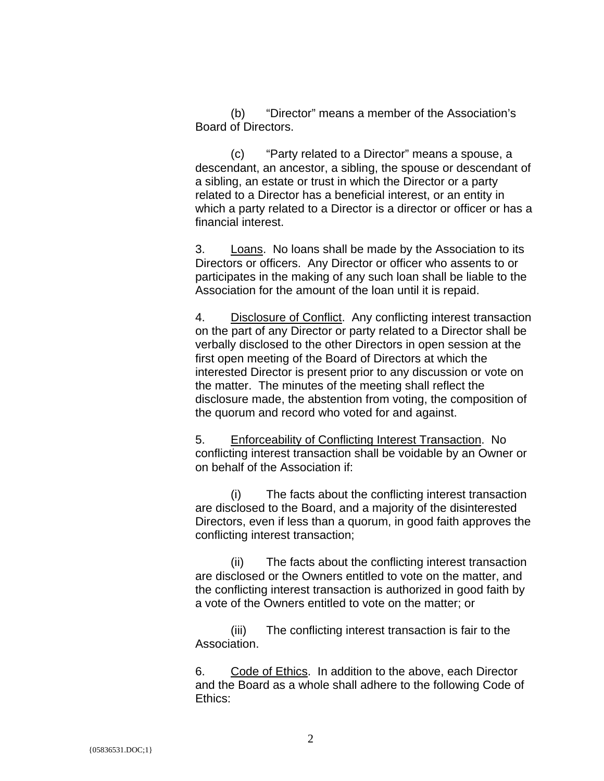(b) "Director" means a member of the Association's Board of Directors.

 (c) "Party related to a Director" means a spouse, a descendant, an ancestor, a sibling, the spouse or descendant of a sibling, an estate or trust in which the Director or a party related to a Director has a beneficial interest, or an entity in which a party related to a Director is a director or officer or has a financial interest.

3. Loans. No loans shall be made by the Association to its Directors or officers. Any Director or officer who assents to or participates in the making of any such loan shall be liable to the Association for the amount of the loan until it is repaid.

4. Disclosure of Conflict. Any conflicting interest transaction on the part of any Director or party related to a Director shall be verbally disclosed to the other Directors in open session at the first open meeting of the Board of Directors at which the interested Director is present prior to any discussion or vote on the matter. The minutes of the meeting shall reflect the disclosure made, the abstention from voting, the composition of the quorum and record who voted for and against.

5. Enforceability of Conflicting Interest Transaction. No conflicting interest transaction shall be voidable by an Owner or on behalf of the Association if:

 (i) The facts about the conflicting interest transaction are disclosed to the Board, and a majority of the disinterested Directors, even if less than a quorum, in good faith approves the conflicting interest transaction;

 (ii) The facts about the conflicting interest transaction are disclosed or the Owners entitled to vote on the matter, and the conflicting interest transaction is authorized in good faith by a vote of the Owners entitled to vote on the matter; or

 (iii) The conflicting interest transaction is fair to the Association.

6. Code of Ethics. In addition to the above, each Director and the Board as a whole shall adhere to the following Code of Ethics: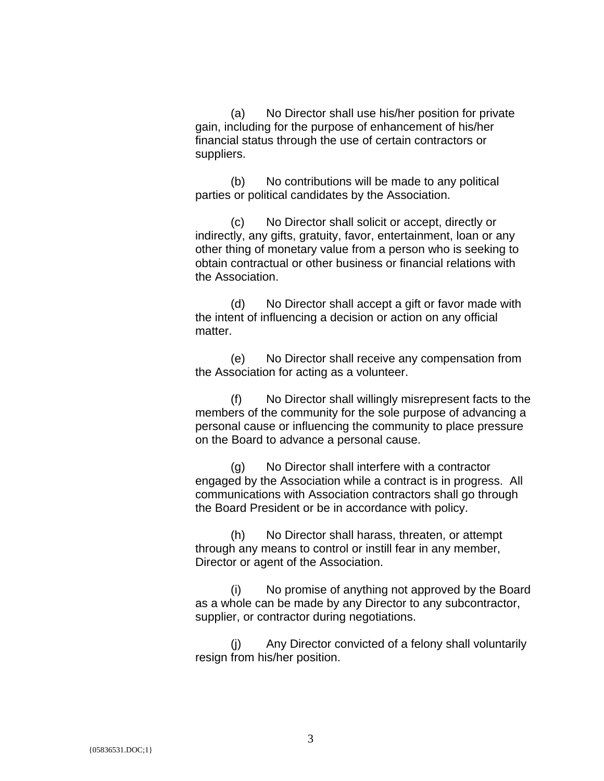(a) No Director shall use his/her position for private gain, including for the purpose of enhancement of his/her financial status through the use of certain contractors or suppliers.

 (b) No contributions will be made to any political parties or political candidates by the Association.

 (c) No Director shall solicit or accept, directly or indirectly, any gifts, gratuity, favor, entertainment, loan or any other thing of monetary value from a person who is seeking to obtain contractual or other business or financial relations with the Association.

 (d) No Director shall accept a gift or favor made with the intent of influencing a decision or action on any official matter.

 (e) No Director shall receive any compensation from the Association for acting as a volunteer.

 (f) No Director shall willingly misrepresent facts to the members of the community for the sole purpose of advancing a personal cause or influencing the community to place pressure on the Board to advance a personal cause.

 (g) No Director shall interfere with a contractor engaged by the Association while a contract is in progress. All communications with Association contractors shall go through the Board President or be in accordance with policy.

 (h) No Director shall harass, threaten, or attempt through any means to control or instill fear in any member, Director or agent of the Association.

 (i) No promise of anything not approved by the Board as a whole can be made by any Director to any subcontractor, supplier, or contractor during negotiations.

 (j) Any Director convicted of a felony shall voluntarily resign from his/her position.